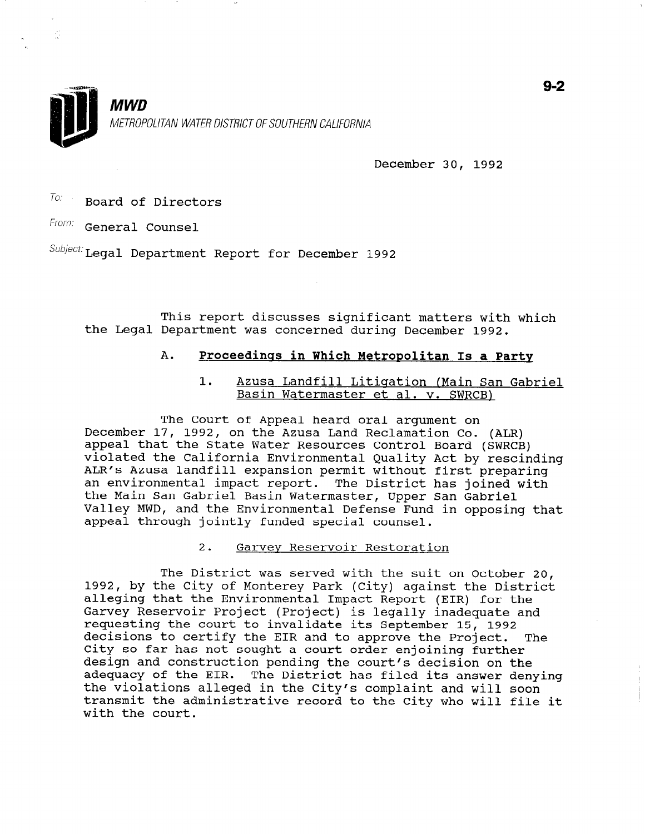

December 30, 1992

 $T$ o: Board of Directors

From: General Counsel

K)<br>Ki

Subject: Legal Department Report for December 1992

This report discusses significant matters with which the Legal Department was concerned during December 1992.

# A. Proceedinqs in Which Metropolitan Is a Party

1. Azusa Landfill Litigation (Main San Gabriel Basin Watermaster et al. v. SWRCB)

The Court of Appeal heard oral argument on December 17, 1992, on the Azusa Land Reclamation Co. (ALR) appeal that the State Water Resources Control Board (SWRCB) violated the California Environmental Quality Act by rescinding ALR's Azusa landfill expansion permit without first preparing an environmental impact report. The District has joined with the Main San Gabriel Basin Watermaster, Upper San Gabriel Valley MWD, and the Environmental Defense Fund in opposing that appeal through jointly funded special counsel.

2. Garvev Reservoir Restoration

The District was served with the suit on October 20, 1992, by the City of Montever Park (City) against the District<br>1992, by the City of Montever Park (City) against the Distri 1992, by the CIty Of Monterey Park (CIty) against the Distr Garvey Reservoir Project (Project) is legally inclements and requesting the court to invalidate its September 15, 1992 decisions to contify the EIR and to approve the Project. The decisions to certify the fik and to approve the Project.<br>City so far has not sought a sount order enjoined in South city so far has not sought a court order enjoining further design and construction pending the court's decision on the<br>edemography EIR. The Charles its answer did its answer adequacy of the EIR. The District has filed its answer denying the violations alleged in the City's complaint and will soon<br>transmit the administrative record to the City who will file it with the court.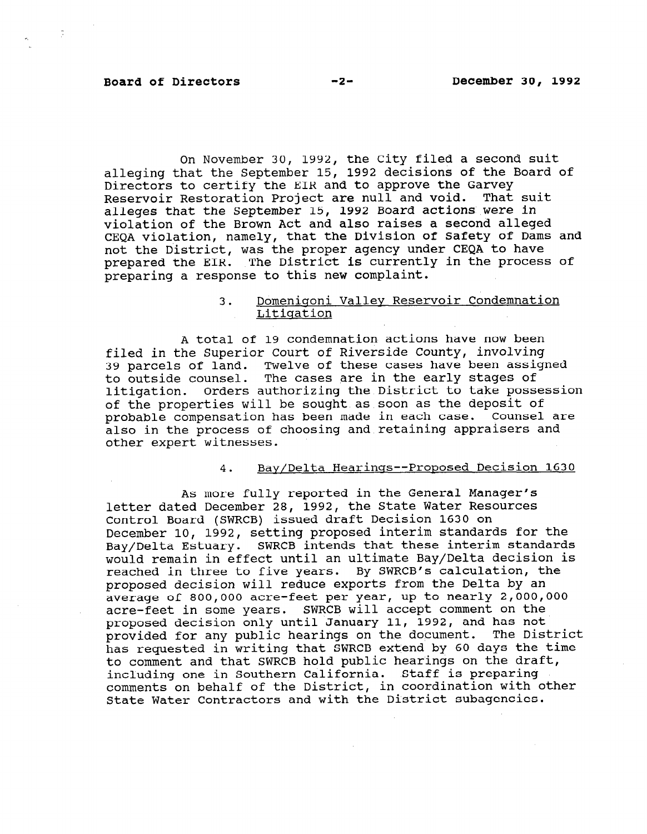# Board of Directors -2- December 30, 1992

 $\label{eq:2} \frac{1}{2} \left( \frac{1}{2} \right)^{2} \left( \frac{1}{2} \right)^{2}$ 

On November 30, 1992, the City filed a second suit alleging that the September 15, 1992 decisions of the Board of Directors to certify the EIR and to approve the Garvey Reservoir Restoration Project are null and void. That suit alleges that the September 15, 1992 Board actions were in violation of the Brown Act and also raises a second alleged CEQA violation, namely, that the Division of Safety of Dams and not the District, was the proper agency under CEQA to have prepared the EIR. The District is currently in the process of preparing a response to this new complaint.

# 3. Domenigoni Valley Reservoir Condemnation Litigation

A total of 19 condemnation actions have now been filed in the Superior Court of Riverside County, involving 39 parcels of land. Twelve of these cases have been assigned to parcels of land. Twelve of these cases have been assistant and the early stages of to outside counsel. The cases are in the early stages of litigation. Orders authorizing the District to take possession of the properties will be sought as soon as the deposit of probable compensation has been made in each case. Counsel are also in the process of choosing and retaining appraisers and<br>other expert witnesses.

#### 4. Bay/Delta Hearings--Proposed Decision 1630

As more fully reported in the General Manager's letter data more fully reported in the General Manager letter dated December 28, 1992, the State Water Resources Control Board (SWRCB) issued draft Decision 1630 on December 10, 1992, setting proposed interim standards for the Bay/Delta Estuary. SWRCB intends that these interim standards would remain in effect until an ultimate Bay/Delta decision is reached in three to five years. By SWRCB's calculation, the proposed decision will reduce exports from the Delta by an average of 800,000 acre-feet per year, up to nearly 2,000,000 acre-feet in some years. SWRCB will accept comment on the proposed decision only until January 11, 1992, and has not provided for any public hearings on the document. The District has requested in writing that SWRCB extend by 60 days the time to comment and that SWRCB hold public hearings on the draft, including one in Southern California. Staff is preparing comments on behalf of the District, in coordination with other State Water Contractors and with the District subagencies.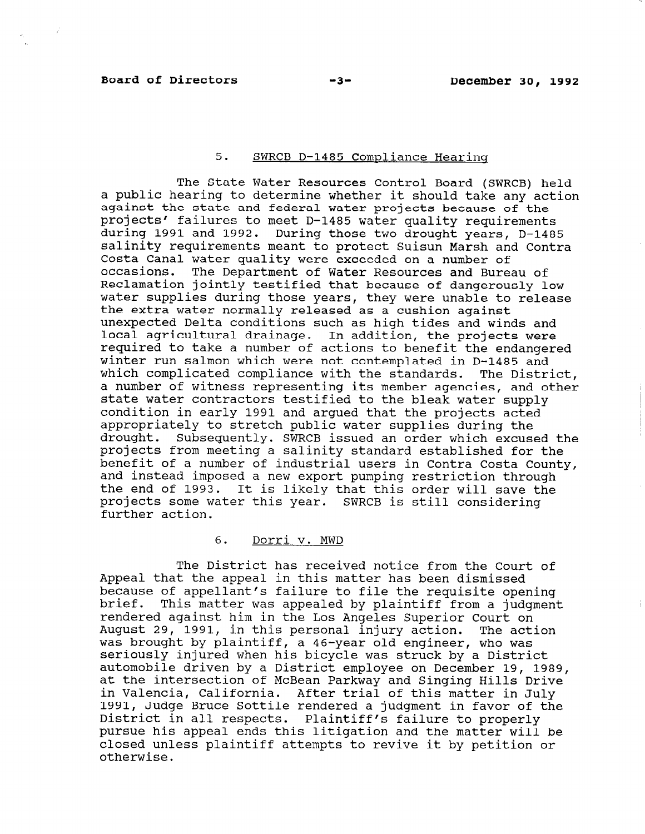$\sim$  2

# 5. SWRCB D-1485 Compliance Hearing

The State Water Resources Control Board (SWRCB) held a public hearing to determine whether it should take any action against the state and federal water projects because of the projects' failures to meet D-1485 water quality requirements during 1991 and 1992. During those two drought years, D-1485 salinity requirements meant to protect Suisun Marsh and Contra Costa Canal water quality were exceeded on a number of occasions. The Department of Water Resources and Bureau of Reclamation jointly testified that because of dangerously low water supplies during those years, they were unable to release the extra water normally released as a cushion against unexpected Delta conditions such as high tides and winds and local agricultural drainage. In addition, the projects were required to take a number of actions to benefit the endangered winter run salmon which were not contemplated in D-1485 and which complicated compliance with the standards. The District, a number of witness representing its member agencies, and other state water contractors testified to the bleak water supply condition in early 1991 and argued that the projects acted appropriately to stretch public water supplies during the drought. Subsequently. SWRCB issued an order which excused the projects from meeting a salinity standard established for the benefit of a number of industrial users in Contra Costa County, and instead imposed a new export pumping restriction through and instead imposed a new export pumping restriction through<br>the end of 1993. It is likely that this order will save the projects some water this year. SWRCB is still consider projects some water this year. SWRCB is still considering<br>further action.

# 6. Dorri v. MWD

The District has received notice from the Court of Appeal that the appeal in this matter has been dismissed. because of appellant's failure to file the requisite opening because of appellant's failure to file the requisite opening<br>brief. This matter was appealed by plaintiff from a judgment prier. This matter was appealed by piaintiff from a judg. August 29, 1991, in this personal injury action. The action August 29, 1991, in this personal injury action. The action was brought by plaintiff, a 46-year old engineer, who was seriously injured when his bicycle was struck by a District automobile driven by a District employee on December 19, 1989, at the intersection of McBean Parkway and Singing Hills Drive in Valencia, California. After trial of this matter in July 1991, Judge Bruce Sottile rendered a judgment in favor of the District in all respects. Plaintiff's failure to properly pursue his appeal ends this litigation and the matter will be closed unless plaintiff attempts to revive it by petition or otherwise.